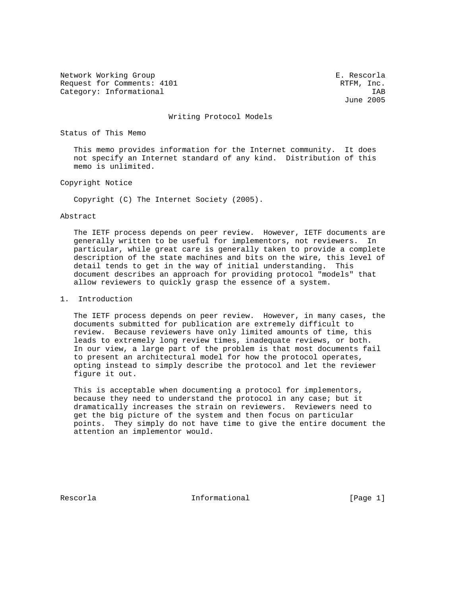Network Working Group **E. Rescorla** Request for Comments: 4101 RTFM, Inc. Category: Informational IAB<br>
June 2005

June 2005

#### Writing Protocol Models

### Status of This Memo

 This memo provides information for the Internet community. It does not specify an Internet standard of any kind. Distribution of this memo is unlimited.

## Copyright Notice

Copyright (C) The Internet Society (2005).

#### Abstract

 The IETF process depends on peer review. However, IETF documents are generally written to be useful for implementors, not reviewers. In particular, while great care is generally taken to provide a complete description of the state machines and bits on the wire, this level of detail tends to get in the way of initial understanding. This document describes an approach for providing protocol "models" that allow reviewers to quickly grasp the essence of a system.

### 1. Introduction

 The IETF process depends on peer review. However, in many cases, the documents submitted for publication are extremely difficult to review. Because reviewers have only limited amounts of time, this leads to extremely long review times, inadequate reviews, or both. In our view, a large part of the problem is that most documents fail to present an architectural model for how the protocol operates, opting instead to simply describe the protocol and let the reviewer figure it out.

 This is acceptable when documenting a protocol for implementors, because they need to understand the protocol in any case; but it dramatically increases the strain on reviewers. Reviewers need to get the big picture of the system and then focus on particular points. They simply do not have time to give the entire document the attention an implementor would.

Rescorla **Informational** Informational [Page 1]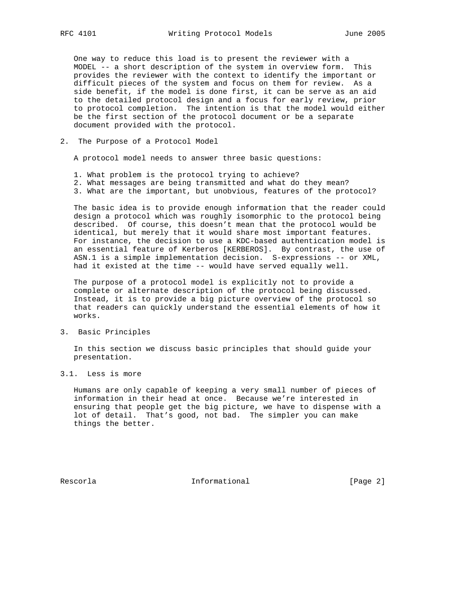One way to reduce this load is to present the reviewer with a MODEL -- a short description of the system in overview form. This provides the reviewer with the context to identify the important or difficult pieces of the system and focus on them for review. As a side benefit, if the model is done first, it can be serve as an aid to the detailed protocol design and a focus for early review, prior to protocol completion. The intention is that the model would either be the first section of the protocol document or be a separate document provided with the protocol.

2. The Purpose of a Protocol Model

A protocol model needs to answer three basic questions:

- 1. What problem is the protocol trying to achieve?
- 2. What messages are being transmitted and what do they mean?
- 3. What are the important, but unobvious, features of the protocol?

 The basic idea is to provide enough information that the reader could design a protocol which was roughly isomorphic to the protocol being described. Of course, this doesn't mean that the protocol would be identical, but merely that it would share most important features. For instance, the decision to use a KDC-based authentication model is an essential feature of Kerberos [KERBEROS]. By contrast, the use of ASN.1 is a simple implementation decision. S-expressions -- or XML, had it existed at the time -- would have served equally well.

 The purpose of a protocol model is explicitly not to provide a complete or alternate description of the protocol being discussed. Instead, it is to provide a big picture overview of the protocol so that readers can quickly understand the essential elements of how it works.

## 3. Basic Principles

 In this section we discuss basic principles that should guide your presentation.

3.1. Less is more

 Humans are only capable of keeping a very small number of pieces of information in their head at once. Because we're interested in ensuring that people get the big picture, we have to dispense with a lot of detail. That's good, not bad. The simpler you can make things the better.

Rescorla **Informational** Informational [Page 2]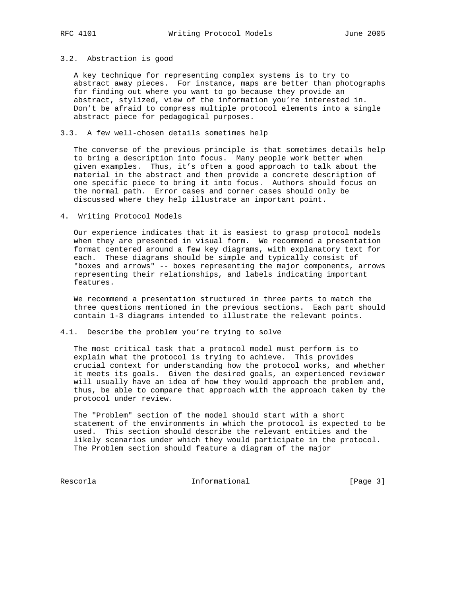### 3.2. Abstraction is good

 A key technique for representing complex systems is to try to abstract away pieces. For instance, maps are better than photographs for finding out where you want to go because they provide an abstract, stylized, view of the information you're interested in. Don't be afraid to compress multiple protocol elements into a single abstract piece for pedagogical purposes.

## 3.3. A few well-chosen details sometimes help

 The converse of the previous principle is that sometimes details help to bring a description into focus. Many people work better when given examples. Thus, it's often a good approach to talk about the material in the abstract and then provide a concrete description of one specific piece to bring it into focus. Authors should focus on the normal path. Error cases and corner cases should only be discussed where they help illustrate an important point.

4. Writing Protocol Models

 Our experience indicates that it is easiest to grasp protocol models when they are presented in visual form. We recommend a presentation format centered around a few key diagrams, with explanatory text for each. These diagrams should be simple and typically consist of "boxes and arrows" -- boxes representing the major components, arrows representing their relationships, and labels indicating important features.

 We recommend a presentation structured in three parts to match the three questions mentioned in the previous sections. Each part should contain 1-3 diagrams intended to illustrate the relevant points.

4.1. Describe the problem you're trying to solve

 The most critical task that a protocol model must perform is to explain what the protocol is trying to achieve. This provides crucial context for understanding how the protocol works, and whether it meets its goals. Given the desired goals, an experienced reviewer will usually have an idea of how they would approach the problem and, thus, be able to compare that approach with the approach taken by the protocol under review.

 The "Problem" section of the model should start with a short statement of the environments in which the protocol is expected to be used. This section should describe the relevant entities and the likely scenarios under which they would participate in the protocol. The Problem section should feature a diagram of the major

Rescorla **Informational** Informational [Page 3]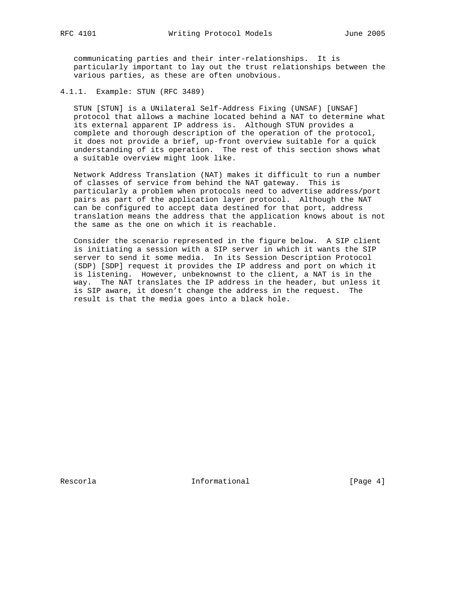communicating parties and their inter-relationships. It is particularly important to lay out the trust relationships between the various parties, as these are often unobvious.

4.1.1. Example: STUN (RFC 3489)

 STUN [STUN] is a UNilateral Self-Address Fixing (UNSAF) [UNSAF] protocol that allows a machine located behind a NAT to determine what its external apparent IP address is. Although STUN provides a complete and thorough description of the operation of the protocol, it does not provide a brief, up-front overview suitable for a quick understanding of its operation. The rest of this section shows what a suitable overview might look like.

 Network Address Translation (NAT) makes it difficult to run a number of classes of service from behind the NAT gateway. This is particularly a problem when protocols need to advertise address/port pairs as part of the application layer protocol. Although the NAT can be configured to accept data destined for that port, address translation means the address that the application knows about is not the same as the one on which it is reachable.

 Consider the scenario represented in the figure below. A SIP client is initiating a session with a SIP server in which it wants the SIP server to send it some media. In its Session Description Protocol (SDP) [SDP] request it provides the IP address and port on which it is listening. However, unbeknownst to the client, a NAT is in the way. The NAT translates the IP address in the header, but unless it is SIP aware, it doesn't change the address in the request. The result is that the media goes into a black hole.

Rescorla **Informational** Informational [Page 4]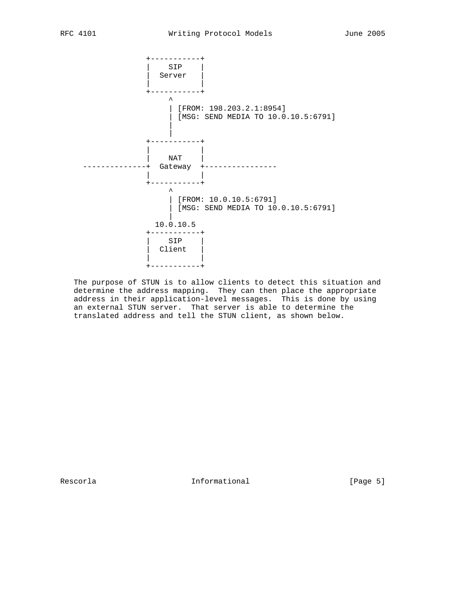

 The purpose of STUN is to allow clients to detect this situation and determine the address mapping. They can then place the appropriate address in their application-level messages. This is done by using an external STUN server. That server is able to determine the translated address and tell the STUN client, as shown below.

Rescorla **Informational** Informational [Page 5]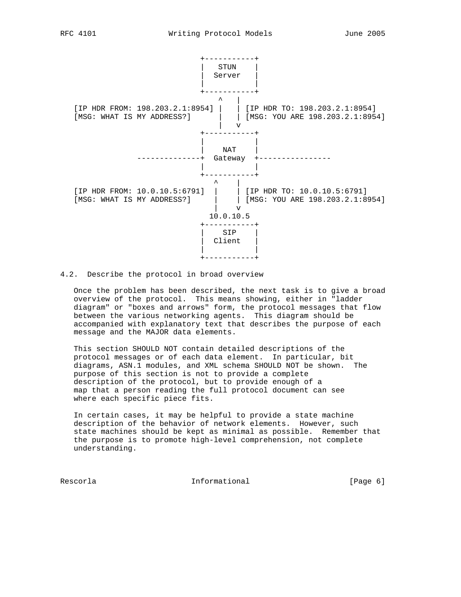

4.2. Describe the protocol in broad overview

 Once the problem has been described, the next task is to give a broad overview of the protocol. This means showing, either in "ladder diagram" or "boxes and arrows" form, the protocol messages that flow between the various networking agents. This diagram should be accompanied with explanatory text that describes the purpose of each message and the MAJOR data elements.

 This section SHOULD NOT contain detailed descriptions of the protocol messages or of each data element. In particular, bit diagrams, ASN.1 modules, and XML schema SHOULD NOT be shown. The purpose of this section is not to provide a complete description of the protocol, but to provide enough of a map that a person reading the full protocol document can see where each specific piece fits.

 In certain cases, it may be helpful to provide a state machine description of the behavior of network elements. However, such state machines should be kept as minimal as possible. Remember that the purpose is to promote high-level comprehension, not complete understanding.

Rescorla **Informational Informational Informational** [Page 6]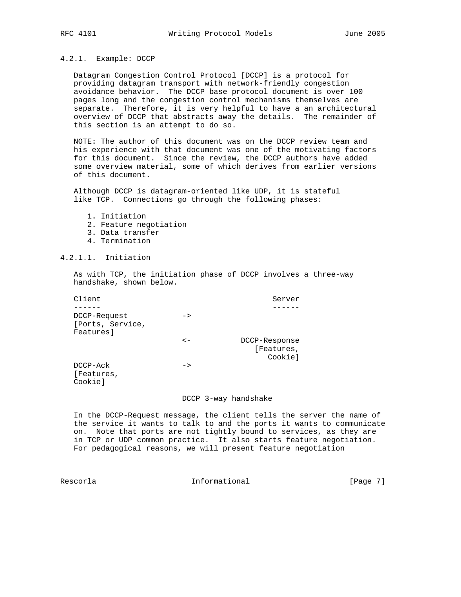## 4.2.1. Example: DCCP

 Datagram Congestion Control Protocol [DCCP] is a protocol for providing datagram transport with network-friendly congestion avoidance behavior. The DCCP base protocol document is over 100 pages long and the congestion control mechanisms themselves are separate. Therefore, it is very helpful to have a an architectural overview of DCCP that abstracts away the details. The remainder of this section is an attempt to do so.

 NOTE: The author of this document was on the DCCP review team and his experience with that document was one of the motivating factors for this document. Since the review, the DCCP authors have added some overview material, some of which derives from earlier versions of this document.

 Although DCCP is datagram-oriented like UDP, it is stateful like TCP. Connections go through the following phases:

- 1. Initiation
- 2. Feature negotiation
- 3. Data transfer
- 4. Termination

# 4.2.1.1. Initiation

 As with TCP, the initiation phase of DCCP involves a three-way handshake, shown below.

| Client                                        |               | Server                                 |
|-----------------------------------------------|---------------|----------------------------------------|
|                                               |               |                                        |
| DCCP-Request<br>[Ports, Service,<br>Features] | $\rightarrow$ |                                        |
|                                               | $\lt$ $-$     | DCCP-Response<br>[Features,<br>Cookiel |
| DCCP-Ack<br>[Features,<br>Cookie]             | ->            |                                        |

#### DCCP 3-way handshake

 In the DCCP-Request message, the client tells the server the name of the service it wants to talk to and the ports it wants to communicate on. Note that ports are not tightly bound to services, as they are in TCP or UDP common practice. It also starts feature negotiation. For pedagogical reasons, we will present feature negotiation

Rescorla **Informational** Informational [Page 7]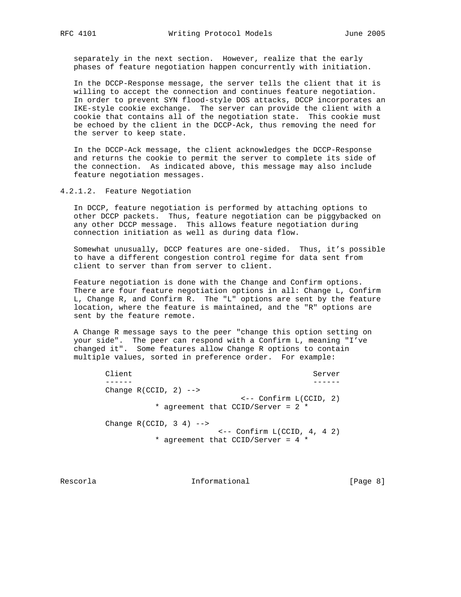separately in the next section. However, realize that the early phases of feature negotiation happen concurrently with initiation.

 In the DCCP-Response message, the server tells the client that it is willing to accept the connection and continues feature negotiation. In order to prevent SYN flood-style DOS attacks, DCCP incorporates an IKE-style cookie exchange. The server can provide the client with a cookie that contains all of the negotiation state. This cookie must be echoed by the client in the DCCP-Ack, thus removing the need for the server to keep state.

 In the DCCP-Ack message, the client acknowledges the DCCP-Response and returns the cookie to permit the server to complete its side of the connection. As indicated above, this message may also include feature negotiation messages.

4.2.1.2. Feature Negotiation

 In DCCP, feature negotiation is performed by attaching options to other DCCP packets. Thus, feature negotiation can be piggybacked on any other DCCP message. This allows feature negotiation during connection initiation as well as during data flow.

 Somewhat unusually, DCCP features are one-sided. Thus, it's possible to have a different congestion control regime for data sent from client to server than from server to client.

 Feature negotiation is done with the Change and Confirm options. There are four feature negotiation options in all: Change L, Confirm L, Change R, and Confirm R. The "L" options are sent by the feature location, where the feature is maintained, and the "R" options are sent by the feature remote.

 A Change R message says to the peer "change this option setting on your side". The peer can respond with a Confirm L, meaning "I've changed it". Some features allow Change R options to contain multiple values, sorted in preference order. For example:

Client Server Server Server Server Server Server Server Server Server Server Server Server Server Server Server ------ ------ Change  $R(CCID, 2)$  --> <-- Confirm L(CCID, 2) \* agreement that CCID/Server = 2 \* Change  $R(CCID, 3 4)$  --> <-- Confirm L(CCID, 4, 4 2) \* agreement that CCID/Server = 4 \*

Rescorla **Informational** Informational [Page 8]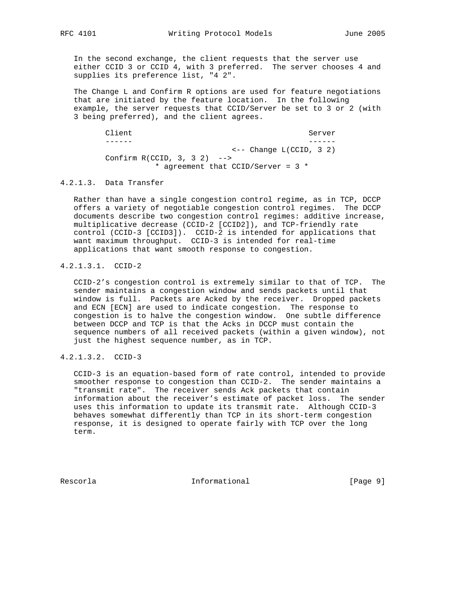In the second exchange, the client requests that the server use either CCID 3 or CCID 4, with 3 preferred. The server chooses 4 and supplies its preference list, "4 2".

 The Change L and Confirm R options are used for feature negotiations that are initiated by the feature location. In the following example, the server requests that CCID/Server be set to 3 or 2 (with 3 being preferred), and the client agrees.

Client Server Server Server Server Server Server Server Server Server Server Server Server Server Server Server ------ ------ <-- Change L(CCID, 3 2) Confirm R(CCID, 3, 3 2) --> \* agreement that CCID/Server = 3 \*

# 4.2.1.3. Data Transfer

 Rather than have a single congestion control regime, as in TCP, DCCP offers a variety of negotiable congestion control regimes. The DCCP documents describe two congestion control regimes: additive increase, multiplicative decrease (CCID-2 [CCID2]), and TCP-friendly rate control (CCID-3 [CCID3]). CCID-2 is intended for applications that want maximum throughput. CCID-3 is intended for real-time applications that want smooth response to congestion.

# 4.2.1.3.1. CCID-2

 CCID-2's congestion control is extremely similar to that of TCP. The sender maintains a congestion window and sends packets until that window is full. Packets are Acked by the receiver. Dropped packets and ECN [ECN] are used to indicate congestion. The response to congestion is to halve the congestion window. One subtle difference between DCCP and TCP is that the Acks in DCCP must contain the sequence numbers of all received packets (within a given window), not just the highest sequence number, as in TCP.

# 4.2.1.3.2. CCID-3

 CCID-3 is an equation-based form of rate control, intended to provide smoother response to congestion than CCID-2. The sender maintains a "transmit rate". The receiver sends Ack packets that contain information about the receiver's estimate of packet loss. The sender uses this information to update its transmit rate. Although CCID-3 behaves somewhat differently than TCP in its short-term congestion response, it is designed to operate fairly with TCP over the long term.

Rescorla **Informational** Informational [Page 9]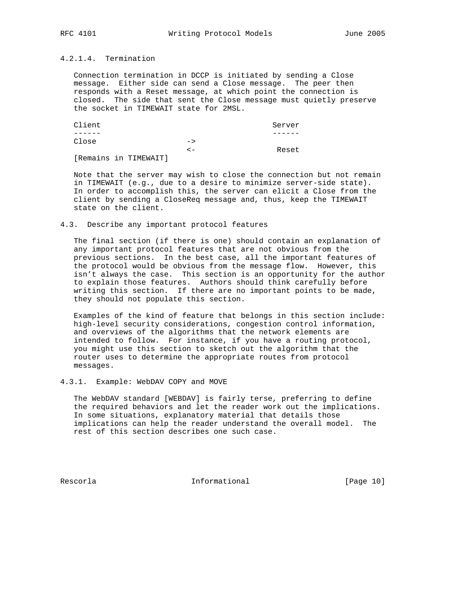# 4.2.1.4. Termination

 Connection termination in DCCP is initiated by sending a Close message. Either side can send a Close message. The peer then responds with a Reset message, at which point the connection is closed. The side that sent the Close message must quietly preserve the socket in TIMEWAIT state for 2MSL.

| Client                |               | Server |
|-----------------------|---------------|--------|
|                       |               |        |
| Close                 | $\rightarrow$ |        |
|                       | < -           | Reset  |
| [Remains in TIMEWAIT] |               |        |

 Note that the server may wish to close the connection but not remain in TIMEWAIT (e.g., due to a desire to minimize server-side state). In order to accomplish this, the server can elicit a Close from the client by sending a CloseReq message and, thus, keep the TIMEWAIT state on the client.

#### 4.3. Describe any important protocol features

 The final section (if there is one) should contain an explanation of any important protocol features that are not obvious from the previous sections. In the best case, all the important features of the protocol would be obvious from the message flow. However, this isn't always the case. This section is an opportunity for the author to explain those features. Authors should think carefully before writing this section. If there are no important points to be made, they should not populate this section.

 Examples of the kind of feature that belongs in this section include: high-level security considerations, congestion control information, and overviews of the algorithms that the network elements are intended to follow. For instance, if you have a routing protocol, you might use this section to sketch out the algorithm that the router uses to determine the appropriate routes from protocol messages.

#### 4.3.1. Example: WebDAV COPY and MOVE

 The WebDAV standard [WEBDAV] is fairly terse, preferring to define the required behaviors and let the reader work out the implications. In some situations, explanatory material that details those implications can help the reader understand the overall model. The rest of this section describes one such case.

Rescorla **Informational** Informational [Page 10]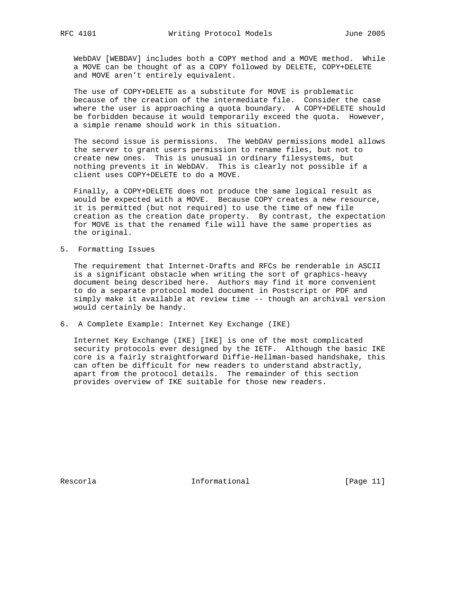WebDAV [WEBDAV] includes both a COPY method and a MOVE method. While a MOVE can be thought of as a COPY followed by DELETE, COPY+DELETE and MOVE aren't entirely equivalent.

 The use of COPY+DELETE as a substitute for MOVE is problematic because of the creation of the intermediate file. Consider the case where the user is approaching a quota boundary. A COPY+DELETE should be forbidden because it would temporarily exceed the quota. However, a simple rename should work in this situation.

 The second issue is permissions. The WebDAV permissions model allows the server to grant users permission to rename files, but not to create new ones. This is unusual in ordinary filesystems, but nothing prevents it in WebDAV. This is clearly not possible if a client uses COPY+DELETE to do a MOVE.

 Finally, a COPY+DELETE does not produce the same logical result as would be expected with a MOVE. Because COPY creates a new resource, it is permitted (but not required) to use the time of new file creation as the creation date property. By contrast, the expectation for MOVE is that the renamed file will have the same properties as the original.

5. Formatting Issues

 The requirement that Internet-Drafts and RFCs be renderable in ASCII is a significant obstacle when writing the sort of graphics-heavy document being described here. Authors may find it more convenient to do a separate protocol model document in Postscript or PDF and simply make it available at review time -- though an archival version would certainly be handy.

6. A Complete Example: Internet Key Exchange (IKE)

 Internet Key Exchange (IKE) [IKE] is one of the most complicated security protocols ever designed by the IETF. Although the basic IKE core is a fairly straightforward Diffie-Hellman-based handshake, this can often be difficult for new readers to understand abstractly, apart from the protocol details. The remainder of this section provides overview of IKE suitable for those new readers.

Rescorla **Informational** Informational [Page 11]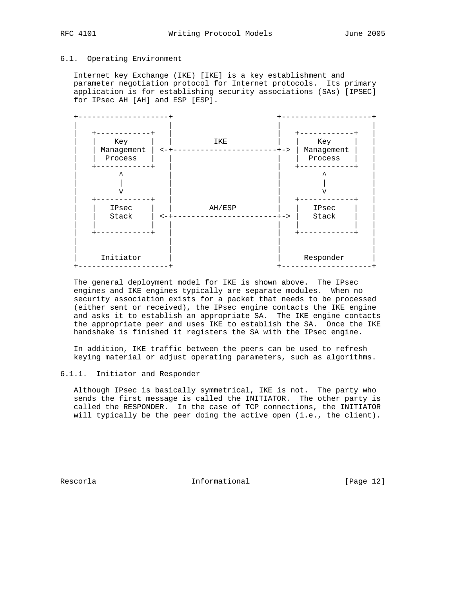### 6.1. Operating Environment

 Internet key Exchange (IKE) [IKE] is a key establishment and parameter negotiation protocol for Internet protocols. Its primary application is for establishing security associations (SAs) [IPSEC] for IPsec AH [AH] and ESP [ESP].



 The general deployment model for IKE is shown above. The IPsec engines and IKE engines typically are separate modules. When no security association exists for a packet that needs to be processed (either sent or received), the IPsec engine contacts the IKE engine and asks it to establish an appropriate SA. The IKE engine contacts the appropriate peer and uses IKE to establish the SA. Once the IKE handshake is finished it registers the SA with the IPsec engine.

 In addition, IKE traffic between the peers can be used to refresh keying material or adjust operating parameters, such as algorithms.

### 6.1.1. Initiator and Responder

 Although IPsec is basically symmetrical, IKE is not. The party who sends the first message is called the INITIATOR. The other party is called the RESPONDER. In the case of TCP connections, the INITIATOR will typically be the peer doing the active open (i.e., the client).

Rescorla **Informational** Informational [Page 12]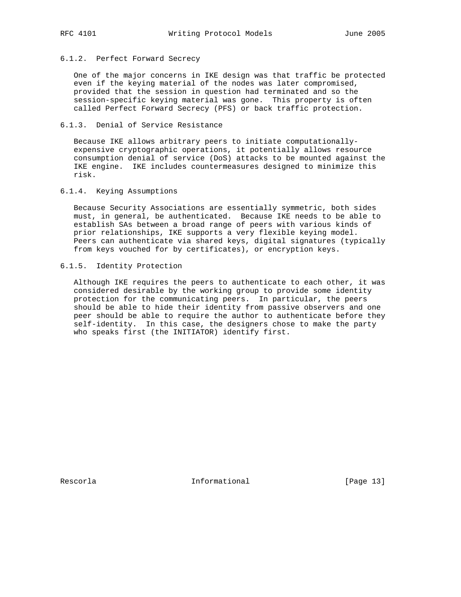# 6.1.2. Perfect Forward Secrecy

 One of the major concerns in IKE design was that traffic be protected even if the keying material of the nodes was later compromised, provided that the session in question had terminated and so the session-specific keying material was gone. This property is often called Perfect Forward Secrecy (PFS) or back traffic protection.

## 6.1.3. Denial of Service Resistance

 Because IKE allows arbitrary peers to initiate computationally expensive cryptographic operations, it potentially allows resource consumption denial of service (DoS) attacks to be mounted against the IKE engine. IKE includes countermeasures designed to minimize this risk.

#### 6.1.4. Keying Assumptions

 Because Security Associations are essentially symmetric, both sides must, in general, be authenticated. Because IKE needs to be able to establish SAs between a broad range of peers with various kinds of prior relationships, IKE supports a very flexible keying model. Peers can authenticate via shared keys, digital signatures (typically from keys vouched for by certificates), or encryption keys.

## 6.1.5. Identity Protection

 Although IKE requires the peers to authenticate to each other, it was considered desirable by the working group to provide some identity protection for the communicating peers. In particular, the peers should be able to hide their identity from passive observers and one peer should be able to require the author to authenticate before they self-identity. In this case, the designers chose to make the party who speaks first (the INITIATOR) identify first.

Rescorla **Informational** Informational [Page 13]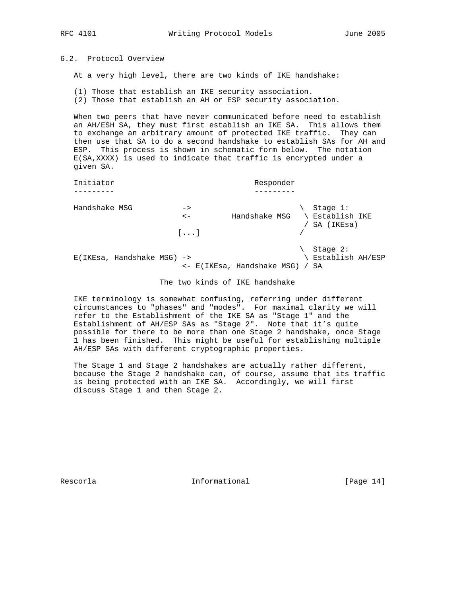# 6.2. Protocol Overview

At a very high level, there are two kinds of IKE handshake:

 (1) Those that establish an IKE security association. (2) Those that establish an AH or ESP security association.

 When two peers that have never communicated before need to establish an AH/ESH SA, they must first establish an IKE SA. This allows them to exchange an arbitrary amount of protected IKE traffic. They can then use that SA to do a second handshake to establish SAs for AH and ESP. This process is shown in schematic form below. The notation E(SA,XXXX) is used to indicate that traffic is encrypted under a given SA.

 Initiator Responder --------- --------- Handshake MSG -> \ Stage 1: <- Handshake MSG \ Establish IKE / SA (IKEsa)  $[...]$ \ Stage 2:<br>\ Establish AH/ESP  $E(IKEsa, Handshake MSG)$  -> <- E(IKEsa, Handshake MSG) / SA

The two kinds of IKE handshake

 IKE terminology is somewhat confusing, referring under different circumstances to "phases" and "modes". For maximal clarity we will refer to the Establishment of the IKE SA as "Stage 1" and the Establishment of AH/ESP SAs as "Stage 2". Note that it's quite possible for there to be more than one Stage 2 handshake, once Stage 1 has been finished. This might be useful for establishing multiple AH/ESP SAs with different cryptographic properties.

 The Stage 1 and Stage 2 handshakes are actually rather different, because the Stage 2 handshake can, of course, assume that its traffic is being protected with an IKE SA. Accordingly, we will first discuss Stage 1 and then Stage 2.

Rescorla **Informational** Informational [Page 14]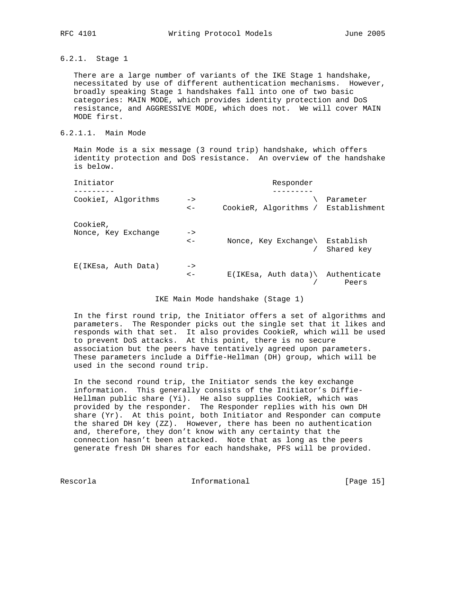# 6.2.1. Stage 1

 There are a large number of variants of the IKE Stage 1 handshake, necessitated by use of different authentication mechanisms. However, broadly speaking Stage 1 handshakes fall into one of two basic categories: MAIN MODE, which provides identity protection and DoS resistance, and AGGRESSIVE MODE, which does not. We will cover MAIN MODE first.

## 6.2.1.1. Main Mode

 Main Mode is a six message (3 round trip) handshake, which offers identity protection and DoS resistance. An overview of the handshake is below.

| Initiator                       |                            | Responder                              |            |
|---------------------------------|----------------------------|----------------------------------------|------------|
| CookieI, Algorithms             | $\rightarrow$<br>$\lt$ $-$ | CookieR, Algorithms / Establishment    | Parameter  |
| CookieR,<br>Nonce, Key Exchange | $\rightarrow$<br>$\lt$ $-$ | Nonce, Key Exchange\ Establish         | Shared key |
| E(IKEsa, Auth Data)             | $\rightarrow$<br>$\lt$ $-$ | $E(IKEsa, Author data) \ Authenticate$ | Peers      |

IKE Main Mode handshake (Stage 1)

 In the first round trip, the Initiator offers a set of algorithms and parameters. The Responder picks out the single set that it likes and responds with that set. It also provides CookieR, which will be used to prevent DoS attacks. At this point, there is no secure association but the peers have tentatively agreed upon parameters. These parameters include a Diffie-Hellman (DH) group, which will be used in the second round trip.

 In the second round trip, the Initiator sends the key exchange information. This generally consists of the Initiator's Diffie- Hellman public share (Yi). He also supplies CookieR, which was provided by the responder. The Responder replies with his own DH share (Yr). At this point, both Initiator and Responder can compute the shared DH key (ZZ). However, there has been no authentication and, therefore, they don't know with any certainty that the connection hasn't been attacked. Note that as long as the peers generate fresh DH shares for each handshake, PFS will be provided.

Rescorla **Informational** Informational [Page 15]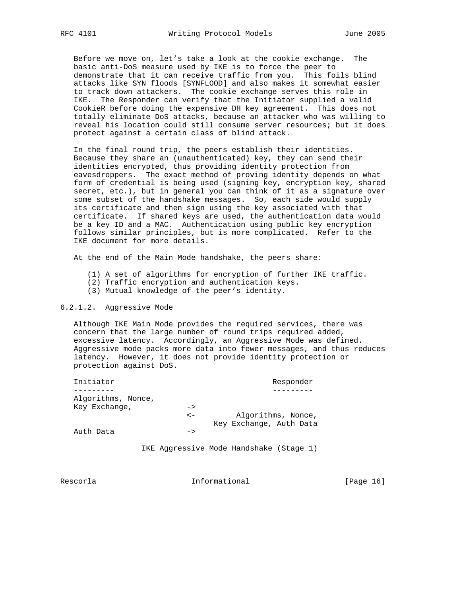Before we move on, let's take a look at the cookie exchange. The basic anti-DoS measure used by IKE is to force the peer to demonstrate that it can receive traffic from you. This foils blind attacks like SYN floods [SYNFLOOD] and also makes it somewhat easier to track down attackers. The cookie exchange serves this role in IKE. The Responder can verify that the Initiator supplied a valid CookieR before doing the expensive DH key agreement. This does not totally eliminate DoS attacks, because an attacker who was willing to reveal his location could still consume server resources; but it does protect against a certain class of blind attack.

 In the final round trip, the peers establish their identities. Because they share an (unauthenticated) key, they can send their identities encrypted, thus providing identity protection from eavesdroppers. The exact method of proving identity depends on what form of credential is being used (signing key, encryption key, shared secret, etc.), but in general you can think of it as a signature over some subset of the handshake messages. So, each side would supply its certificate and then sign using the key associated with that certificate. If shared keys are used, the authentication data would be a key ID and a MAC. Authentication using public key encryption follows similar principles, but is more complicated. Refer to the IKE document for more details.

At the end of the Main Mode handshake, the peers share:

- (1) A set of algorithms for encryption of further IKE traffic.
- (2) Traffic encryption and authentication keys.
- (3) Mutual knowledge of the peer's identity.

### 6.2.1.2. Aggressive Mode

 Although IKE Main Mode provides the required services, there was concern that the large number of round trips required added, excessive latency. Accordingly, an Aggressive Mode was defined. Aggressive mode packs more data into fewer messages, and thus reduces latency. However, it does not provide identity protection or protection against DoS.

| Initiator          |               | Responder               |
|--------------------|---------------|-------------------------|
|                    |               |                         |
| Algorithms, Nonce, |               |                         |
| Key Exchange,      | $\rightarrow$ |                         |
|                    | $\lt$ $-$     | Algorithms, Nonce,      |
|                    |               | Key Exchange, Auth Data |
| Auth Data          | $\rightarrow$ |                         |

IKE Aggressive Mode Handshake (Stage 1)

Rescorla **Informational** [Page 16]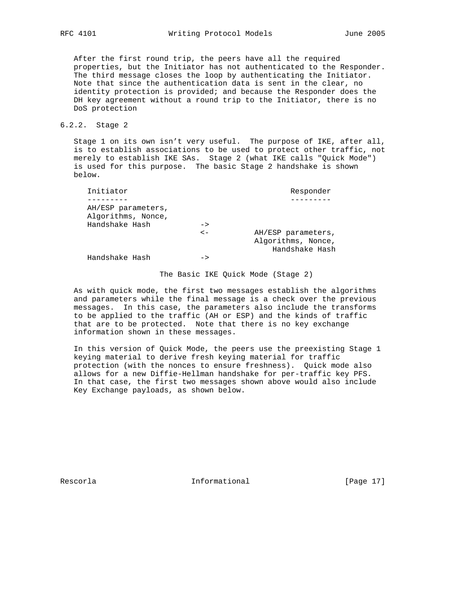After the first round trip, the peers have all the required properties, but the Initiator has not authenticated to the Responder. The third message closes the loop by authenticating the Initiator. Note that since the authentication data is sent in the clear, no identity protection is provided; and because the Responder does the DH key agreement without a round trip to the Initiator, there is no DoS protection

## 6.2.2. Stage 2

 Stage 1 on its own isn't very useful. The purpose of IKE, after all, is to establish associations to be used to protect other traffic, not merely to establish IKE SAs. Stage 2 (what IKE calls "Quick Mode") is used for this purpose. The basic Stage 2 handshake is shown below.

| Initiator                                                  |               | Responder                                                  |
|------------------------------------------------------------|---------------|------------------------------------------------------------|
|                                                            |               |                                                            |
| AH/ESP parameters,<br>Algorithms, Nonce,<br>Handshake Hash | $\rightarrow$ |                                                            |
|                                                            | $\lt$ $-$     | AH/ESP parameters,<br>Algorithms, Nonce,<br>Handshake Hash |
| Handshake Hash                                             | ->            |                                                            |

#### The Basic IKE Quick Mode (Stage 2)

 As with quick mode, the first two messages establish the algorithms and parameters while the final message is a check over the previous messages. In this case, the parameters also include the transforms to be applied to the traffic (AH or ESP) and the kinds of traffic that are to be protected. Note that there is no key exchange information shown in these messages.

 In this version of Quick Mode, the peers use the preexisting Stage 1 keying material to derive fresh keying material for traffic protection (with the nonces to ensure freshness). Quick mode also allows for a new Diffie-Hellman handshake for per-traffic key PFS. In that case, the first two messages shown above would also include Key Exchange payloads, as shown below.

Rescorla **Informational** [Page 17]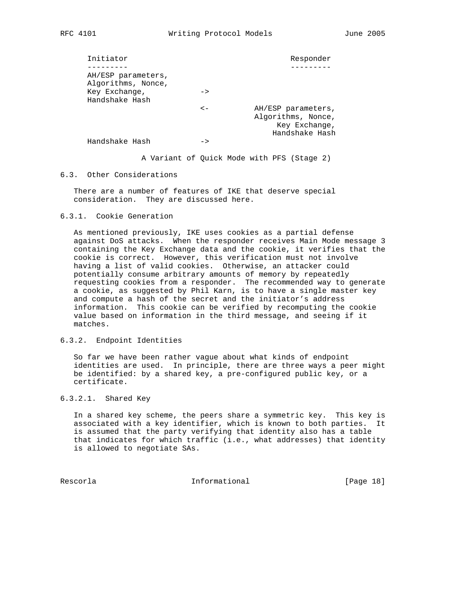| Initiator                       |                                          |               | Responder                                                                   |
|---------------------------------|------------------------------------------|---------------|-----------------------------------------------------------------------------|
|                                 |                                          |               |                                                                             |
|                                 | AH/ESP parameters,<br>Algorithms, Nonce, |               |                                                                             |
| Key Exchange,<br>Handshake Hash |                                          | $\rightarrow$ |                                                                             |
|                                 |                                          | $\lt-$        | AH/ESP parameters,<br>Algorithms, Nonce,<br>Key Exchange,<br>Handshake Hash |
| Handshake Hash                  |                                          | ->            |                                                                             |

A Variant of Quick Mode with PFS (Stage 2)

#### 6.3. Other Considerations

 There are a number of features of IKE that deserve special consideration. They are discussed here.

#### 6.3.1. Cookie Generation

 As mentioned previously, IKE uses cookies as a partial defense against DoS attacks. When the responder receives Main Mode message 3 containing the Key Exchange data and the cookie, it verifies that the cookie is correct. However, this verification must not involve having a list of valid cookies. Otherwise, an attacker could potentially consume arbitrary amounts of memory by repeatedly requesting cookies from a responder. The recommended way to generate a cookie, as suggested by Phil Karn, is to have a single master key and compute a hash of the secret and the initiator's address information. This cookie can be verified by recomputing the cookie value based on information in the third message, and seeing if it matches.

#### 6.3.2. Endpoint Identities

 So far we have been rather vague about what kinds of endpoint identities are used. In principle, there are three ways a peer might be identified: by a shared key, a pre-configured public key, or a certificate.

## 6.3.2.1. Shared Key

 In a shared key scheme, the peers share a symmetric key. This key is associated with a key identifier, which is known to both parties. It is assumed that the party verifying that identity also has a table that indicates for which traffic (i.e., what addresses) that identity is allowed to negotiate SAs.

Rescorla **Informational** Informational [Page 18]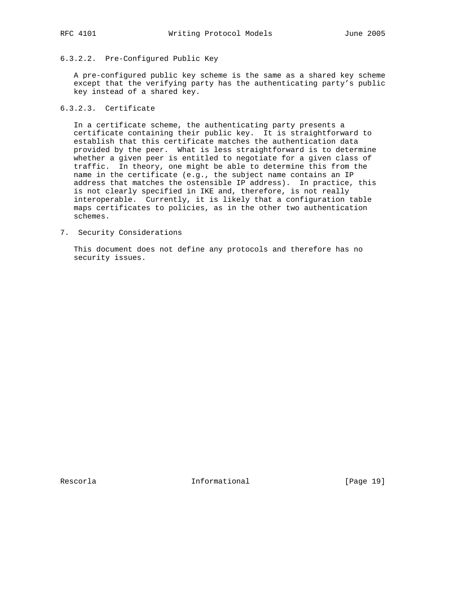# 6.3.2.2. Pre-Configured Public Key

 A pre-configured public key scheme is the same as a shared key scheme except that the verifying party has the authenticating party's public key instead of a shared key.

# 6.3.2.3. Certificate

 In a certificate scheme, the authenticating party presents a certificate containing their public key. It is straightforward to establish that this certificate matches the authentication data provided by the peer. What is less straightforward is to determine whether a given peer is entitled to negotiate for a given class of traffic. In theory, one might be able to determine this from the name in the certificate (e.g., the subject name contains an IP address that matches the ostensible IP address). In practice, this is not clearly specified in IKE and, therefore, is not really interoperable. Currently, it is likely that a configuration table maps certificates to policies, as in the other two authentication schemes.

7. Security Considerations

 This document does not define any protocols and therefore has no security issues.

Rescorla **Informational** Informational [Page 19]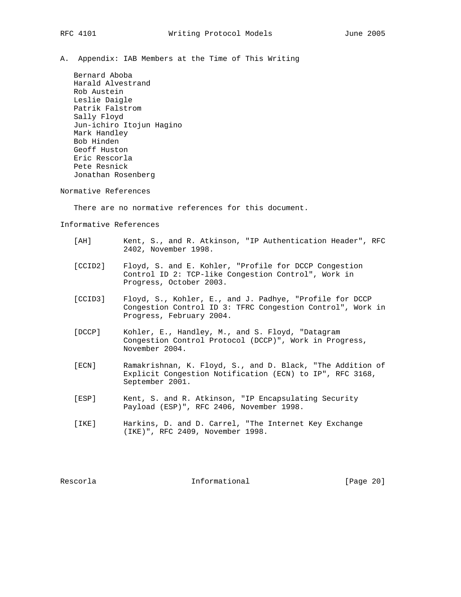A. Appendix: IAB Members at the Time of This Writing

 Bernard Aboba Harald Alvestrand Rob Austein Leslie Daigle Patrik Falstrom Sally Floyd Jun-ichiro Itojun Hagino Mark Handley Bob Hinden Geoff Huston Eric Rescorla Pete Resnick Jonathan Rosenberg

Normative References

There are no normative references for this document.

Informative References

- [AH] Kent, S., and R. Atkinson, "IP Authentication Header", RFC 2402, November 1998.
- [CCID2] Floyd, S. and E. Kohler, "Profile for DCCP Congestion Control ID 2: TCP-like Congestion Control", Work in Progress, October 2003.
- [CCID3] Floyd, S., Kohler, E., and J. Padhye, "Profile for DCCP Congestion Control ID 3: TFRC Congestion Control", Work in Progress, February 2004.
- [DCCP] Kohler, E., Handley, M., and S. Floyd, "Datagram Congestion Control Protocol (DCCP)", Work in Progress, November 2004.
- [ECN] Ramakrishnan, K. Floyd, S., and D. Black, "The Addition of Explicit Congestion Notification (ECN) to IP", RFC 3168, September 2001.
- [ESP] Kent, S. and R. Atkinson, "IP Encapsulating Security Payload (ESP)", RFC 2406, November 1998.
- [IKE] Harkins, D. and D. Carrel, "The Internet Key Exchange (IKE)", RFC 2409, November 1998.

Rescorla **Informational** Informational [Page 20]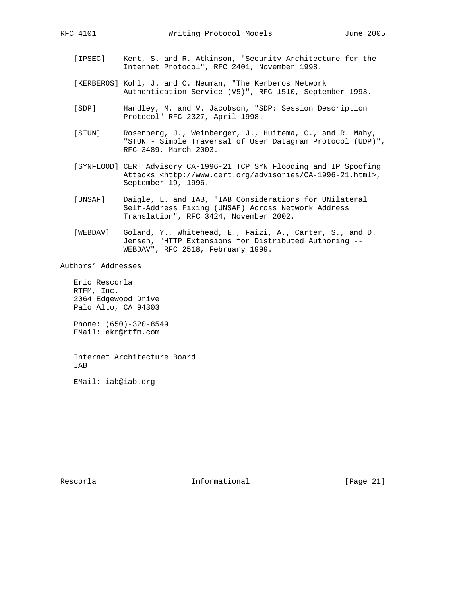- [IPSEC] Kent, S. and R. Atkinson, "Security Architecture for the Internet Protocol", RFC 2401, November 1998.
- [KERBEROS] Kohl, J. and C. Neuman, "The Kerberos Network Authentication Service (V5)", RFC 1510, September 1993.
- [SDP] Handley, M. and V. Jacobson, "SDP: Session Description Protocol" RFC 2327, April 1998.
- [STUN] Rosenberg, J., Weinberger, J., Huitema, C., and R. Mahy, "STUN - Simple Traversal of User Datagram Protocol (UDP)", RFC 3489, March 2003.
- [SYNFLOOD] CERT Advisory CA-1996-21 TCP SYN Flooding and IP Spoofing Attacks <http://www.cert.org/advisories/CA-1996-21.html>, September 19, 1996.
- [UNSAF] Daigle, L. and IAB, "IAB Considerations for UNilateral Self-Address Fixing (UNSAF) Across Network Address Translation", RFC 3424, November 2002.
- [WEBDAV] Goland, Y., Whitehead, E., Faizi, A., Carter, S., and D. Jensen, "HTTP Extensions for Distributed Authoring -- WEBDAV", RFC 2518, February 1999.

Authors' Addresses

 Eric Rescorla RTFM, Inc. 2064 Edgewood Drive Palo Alto, CA 94303

 Phone: (650)-320-8549 EMail: ekr@rtfm.com

 Internet Architecture Board IAB

EMail: iab@iab.org

Rescorla **Informational** [Page 21]